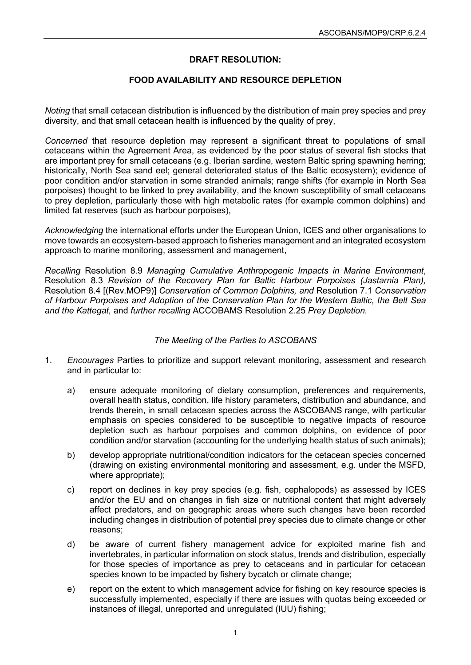## **DRAFT RESOLUTION:**

## **FOOD AVAILABILITY AND RESOURCE DEPLETION**

*Noting* that small cetacean distribution is influenced by the distribution of main prey species and prey diversity, and that small cetacean health is influenced by the quality of prey,

*Concerned* that resource depletion may represent a significant threat to populations of small cetaceans within the Agreement Area, as evidenced by the poor status of several fish stocks that are important prey for small cetaceans (e.g. Iberian sardine, western Baltic spring spawning herring; historically, North Sea sand eel; general deteriorated status of the Baltic ecosystem); evidence of poor condition and/or starvation in some stranded animals; range shifts (for example in North Sea porpoises) thought to be linked to prey availability, and the known susceptibility of small cetaceans to prey depletion, particularly those with high metabolic rates (for example common dolphins) and limited fat reserves (such as harbour porpoises),

*Acknowledging* the international efforts under the European Union, ICES and other organisations to move towards an ecosystem-based approach to fisheries management and an integrated ecosystem approach to marine monitoring, assessment and management,

*Recalling* Resolution 8.9 *Managing Cumulative Anthropogenic Impacts in Marine Environment*, Resolution 8.3 *Revision of the Recovery Plan for Baltic Harbour Porpoises (Jastarnia Plan),*  Resolution 8.4 [(Rev.MOP9)] *Conservation of Common Dolphins, and* Resolution 7.1 *Conservation of Harbour Porpoises and Adoption of the Conservation Plan for the Western Baltic, the Belt Sea and the Kattegat,* and *further recalling* ACCOBAMS Resolution 2.25 *Prey Depletion.*

## *The Meeting of the Parties to ASCOBANS*

- 1. *Encourages* Parties to prioritize and support relevant monitoring, assessment and research and in particular to:
	- a) ensure adequate monitoring of dietary consumption, preferences and requirements, overall health status, condition, life history parameters, distribution and abundance, and trends therein, in small cetacean species across the ASCOBANS range, with particular emphasis on species considered to be susceptible to negative impacts of resource depletion such as harbour porpoises and common dolphins, on evidence of poor condition and/or starvation (accounting for the underlying health status of such animals);
	- b) develop appropriate nutritional/condition indicators for the cetacean species concerned (drawing on existing environmental monitoring and assessment, e.g. under the MSFD, where appropriate);
	- c) report on declines in key prey species (e.g. fish, cephalopods) as assessed by ICES and/or the EU and on changes in fish size or nutritional content that might adversely affect predators, and on geographic areas where such changes have been recorded including changes in distribution of potential prey species due to climate change or other reasons;
	- d) be aware of current fishery management advice for exploited marine fish and invertebrates, in particular information on stock status, trends and distribution, especially for those species of importance as prey to cetaceans and in particular for cetacean species known to be impacted by fishery bycatch or climate change;
	- e) report on the extent to which management advice for fishing on key resource species is successfully implemented, especially if there are issues with quotas being exceeded or instances of illegal, unreported and unregulated (IUU) fishing;